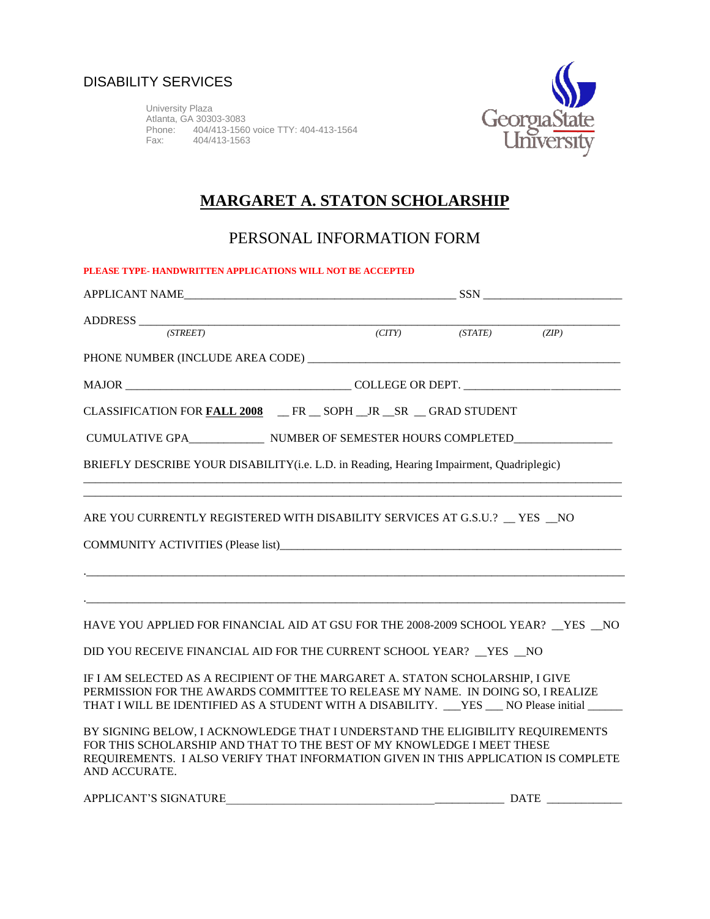University Plaza Atlanta, GA 30303-3083 Phone: 404/413-1560 voice TTY: 404-413-1564 Fax: 404/413-1563



## **MARGARET A. STATON SCHOLARSHIP**

PERSONAL INFORMATION FORM

| PLEASE TYPE-HANDWRITTEN APPLICATIONS WILL NOT BE ACCEPTED                                                                                                                                                                                                       |  |  |  |  |  |  |  |
|-----------------------------------------------------------------------------------------------------------------------------------------------------------------------------------------------------------------------------------------------------------------|--|--|--|--|--|--|--|
|                                                                                                                                                                                                                                                                 |  |  |  |  |  |  |  |
| $\text{ADDRESS} \text{ \underline{\hspace{1.5cm}}(STREET) \text{ \hspace{1.5cm}}(CITY) \text{ \hspace{1.5cm}}(STATE) \text{ \hspace{1.5cm}}(ZIP)$                                                                                                               |  |  |  |  |  |  |  |
|                                                                                                                                                                                                                                                                 |  |  |  |  |  |  |  |
|                                                                                                                                                                                                                                                                 |  |  |  |  |  |  |  |
| CLASSIFICATION FOR FALL 2008 FR _ SOPH _JR _SR _ GRAD STUDENT                                                                                                                                                                                                   |  |  |  |  |  |  |  |
| CUMULATIVE GPA_____________________ NUMBER OF SEMESTER HOURS COMPLETED___________                                                                                                                                                                               |  |  |  |  |  |  |  |
| BRIEFLY DESCRIBE YOUR DISABILITY(i.e. L.D. in Reading, Hearing Impairment, Quadriplegic)                                                                                                                                                                        |  |  |  |  |  |  |  |
| ARE YOU CURRENTLY REGISTERED WITH DISABILITY SERVICES AT G.S.U.? TES NO                                                                                                                                                                                         |  |  |  |  |  |  |  |
| HAVE YOU APPLIED FOR FINANCIAL AID AT GSU FOR THE 2008-2009 SCHOOL YEAR? _YES _NO<br>DID YOU RECEIVE FINANCIAL AID FOR THE CURRENT SCHOOL YEAR? _YES _NO                                                                                                        |  |  |  |  |  |  |  |
| IF I AM SELECTED AS A RECIPIENT OF THE MARGARET A. STATON SCHOLARSHIP, I GIVE<br>PERMISSION FOR THE AWARDS COMMITTEE TO RELEASE MY NAME. IN DOING SO, I REALIZE<br>THAT I WILL BE IDENTIFIED AS A STUDENT WITH A DISABILITY. YES NO Please initial              |  |  |  |  |  |  |  |
| BY SIGNING BELOW, I ACKNOWLEDGE THAT I UNDERSTAND THE ELIGIBILITY REQUIREMENTS<br>FOR THIS SCHOLARSHIP AND THAT TO THE BEST OF MY KNOWLEDGE I MEET THESE<br>REQUIREMENTS. I ALSO VERIFY THAT INFORMATION GIVEN IN THIS APPLICATION IS COMPLETE<br>AND ACCURATE. |  |  |  |  |  |  |  |

| <b>APPLICANT'S SIGNA</b><br>ATURE | JД |  |
|-----------------------------------|----|--|
|                                   |    |  |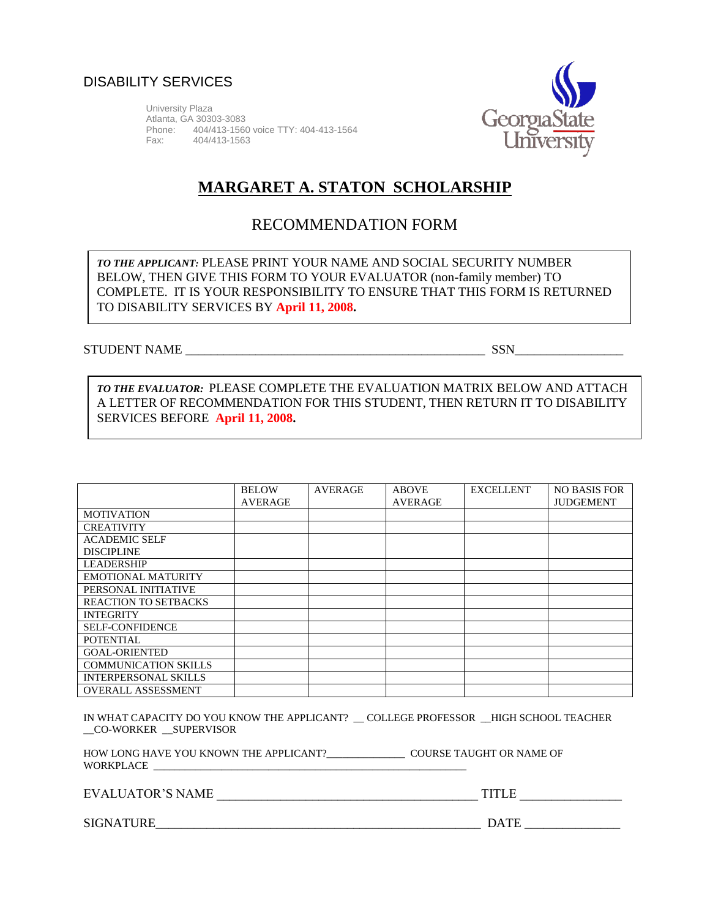

University Plaza Atlanta, GA 30303-3083 Phone: 404/413-1560 voice TTY: 404-413-1564 404/413-1563



## **MARGARET A. STATON SCHOLARSHIP**

## RECOMMENDATION FORM

*TO THE APPLICANT:* PLEASE PRINT YOUR NAME AND SOCIAL SECURITY NUMBER BELOW, THEN GIVE THIS FORM TO YOUR EVALUATOR (non-family member) TO COMPLETE. IT IS YOUR RESPONSIBILITY TO ENSURE THAT THIS FORM IS RETURNED TO DISABILITY SERVICES BY **April 11, 2008.**

#### STUDENT NAME \_\_\_\_\_\_\_\_\_\_\_\_\_\_\_\_\_\_\_\_\_\_\_\_\_\_\_\_\_\_\_\_\_\_\_\_\_\_\_\_\_\_\_\_\_\_\_ SSN\_\_\_\_\_\_\_\_\_\_\_\_\_\_\_\_\_

*TO THE EVALUATOR:* PLEASE COMPLETE THE EVALUATION MATRIX BELOW AND ATTACH A LETTER OF RECOMMENDATION FOR THIS STUDENT, THEN RETURN IT TO DISABILITY SERVICES BEFORE **April 11, 2008.**

|                             | <b>BELOW</b>   | <b>AVERAGE</b> | <b>ABOVE</b>   | <b>EXCELLENT</b> | <b>NO BASIS FOR</b> |
|-----------------------------|----------------|----------------|----------------|------------------|---------------------|
|                             | <b>AVERAGE</b> |                | <b>AVERAGE</b> |                  | <b>JUDGEMENT</b>    |
| <b>MOTIVATION</b>           |                |                |                |                  |                     |
| <b>CREATIVITY</b>           |                |                |                |                  |                     |
| <b>ACADEMIC SELF</b>        |                |                |                |                  |                     |
| <b>DISCIPLINE</b>           |                |                |                |                  |                     |
| <b>LEADERSHIP</b>           |                |                |                |                  |                     |
| <b>EMOTIONAL MATURITY</b>   |                |                |                |                  |                     |
| PERSONAL INITIATIVE         |                |                |                |                  |                     |
| <b>REACTION TO SETBACKS</b> |                |                |                |                  |                     |
| <b>INTEGRITY</b>            |                |                |                |                  |                     |
| <b>SELF-CONFIDENCE</b>      |                |                |                |                  |                     |
| POTENTIAL                   |                |                |                |                  |                     |
| <b>GOAL-ORIENTED</b>        |                |                |                |                  |                     |
| <b>COMMUNICATION SKILLS</b> |                |                |                |                  |                     |
| <b>INTERPERSONAL SKILLS</b> |                |                |                |                  |                     |
| <b>OVERALL ASSESSMENT</b>   |                |                |                |                  |                     |

IN WHAT CAPACITY DO YOU KNOW THE APPLICANT? \_\_ COLLEGE PROFESSOR \_\_HIGH SCHOOL TEACHER \_\_CO-WORKER \_\_SUPERVISOR

HOW LONG HAVE YOU KNOWN THE APPLICANT?\_\_\_\_\_\_\_\_\_\_\_\_\_\_\_\_\_\_\_\_ COURSE TAUGHT OR NAME OF WORKPLACE

EVALUATOR'S NAME \_\_\_\_\_\_\_\_\_\_\_\_\_\_\_\_\_\_\_\_\_\_\_\_\_\_\_\_\_\_\_\_\_\_\_\_\_\_\_\_\_ TITLE \_\_\_\_\_\_\_\_\_\_\_\_\_\_\_\_

SIGNATURE\_\_\_\_\_\_\_\_\_\_\_\_\_\_\_\_\_\_\_\_\_\_\_\_\_\_\_\_\_\_\_\_\_\_\_\_\_\_\_\_\_\_\_\_\_\_\_\_\_\_\_ DATE \_\_\_\_\_\_\_\_\_\_\_\_\_\_\_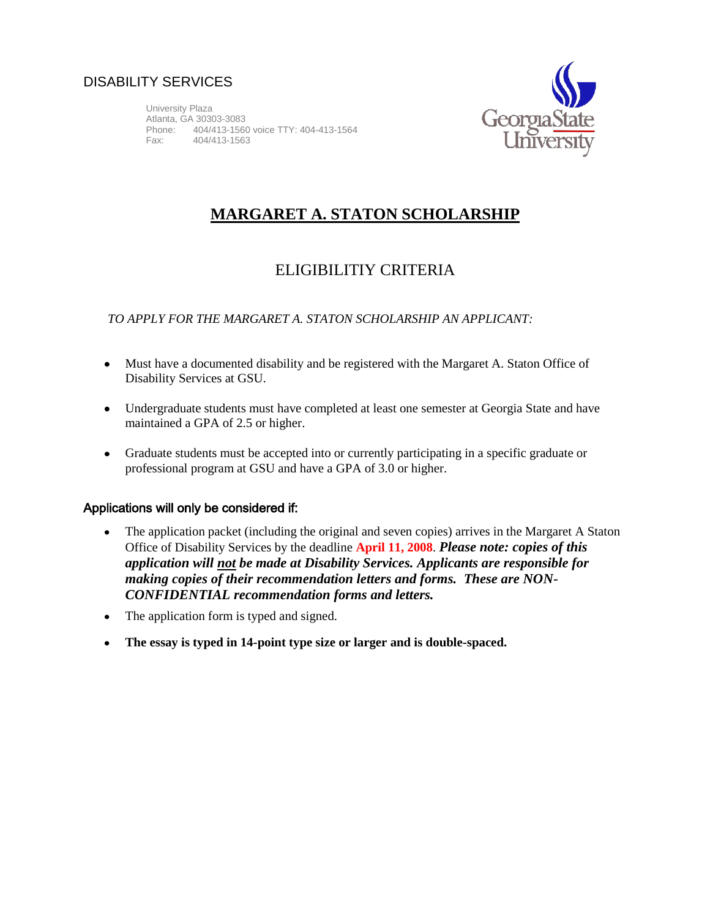University Plaza Atlanta, GA 30303-3083 Phone: 404/413-1560 voice TTY: 404-413-1564 Fax: 404/413-1563



# **MARGARET A. STATON SCHOLARSHIP**

## ELIGIBILITIY CRITERIA

### *TO APPLY FOR THE MARGARET A. STATON SCHOLARSHIP AN APPLICANT:*

- Must have a documented disability and be registered with the Margaret A. Staton Office of Disability Services at GSU.
- Undergraduate students must have completed at least one semester at Georgia State and have maintained a GPA of 2.5 or higher.
- Graduate students must be accepted into or currently participating in a specific graduate or professional program at GSU and have a GPA of 3.0 or higher.

#### Applications will only be considered if:

- The application packet (including the original and seven copies) arrives in the Margaret A Staton  $\bullet$ Office of Disability Services by the deadline **April 11, 2008**. *Please note: copies of this application will not be made at Disability Services. Applicants are responsible for making copies of their recommendation letters and forms. These are NON-CONFIDENTIAL recommendation forms and letters.*
- The application form is typed and signed.
- **The essay is typed in 14-point type size or larger and is double-spaced.**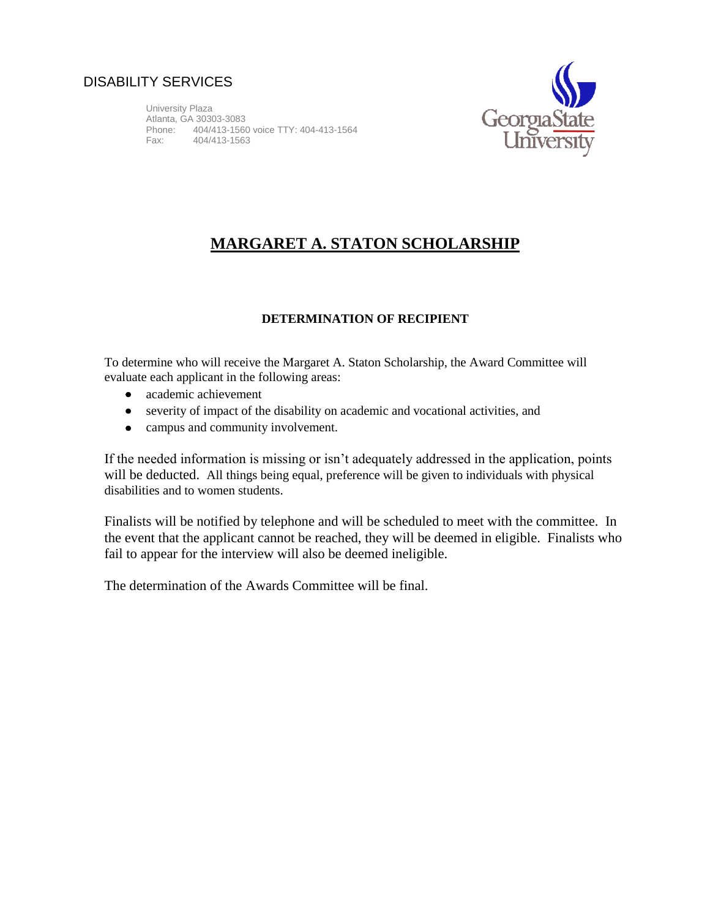University Plaza Atlanta, GA 30303-3083 Phone: 404/413-1560 voice TTY: 404-413-1564 404/413-1563



## **MARGARET A. STATON SCHOLARSHIP**

#### **DETERMINATION OF RECIPIENT**

To determine who will receive the Margaret A. Staton Scholarship, the Award Committee will evaluate each applicant in the following areas:

- academic achievement
- severity of impact of the disability on academic and vocational activities, and
- campus and community involvement.

If the needed information is missing or isn't adequately addressed in the application, points will be deducted. All things being equal, preference will be given to individuals with physical disabilities and to women students.

Finalists will be notified by telephone and will be scheduled to meet with the committee. In the event that the applicant cannot be reached, they will be deemed in eligible. Finalists who fail to appear for the interview will also be deemed ineligible.

The determination of the Awards Committee will be final.